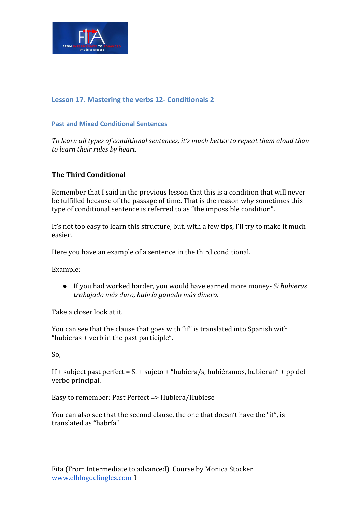

## **Lesson 17. Mastering the verbs 12- Conditionals 2**

#### **Past and Mixed Conditional Sentences**

*To learn all types of conditional sentences, it's much better to repeat them aloud than to learn their rules by heart.*

### **The Third Conditional**

Remember that I said in the previous lesson that this is a condition that will never be fulfilled because of the passage of time. That is the reason why sometimes this type of conditional sentence is referred to as "the impossible condition".

It's not too easy to learn this structure, but, with a few tips, I'll try to make it much easier.

Here you have an example of a sentence in the third conditional.

Example:

● If you had worked harder, you would have earned more money*- Si hubieras trabajado más duro, habría ganado más dinero.*

Take a closer look at it.

You can see that the clause that goes with "if" is translated into Spanish with "hubieras + verb in the past participle".

So,

If + subject past perfect = Si + sujeto + "hubiera/s, hubiéramos, hubieran" + pp del verbo principal.

Easy to remember: Past Perfect => Hubiera/Hubiese

You can also see that the second clause, the one that doesn't have the "if", is translated as "habría"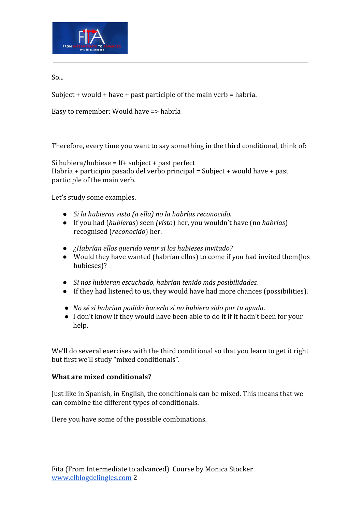

So...

Subject + would + have + past participle of the main verb = habría.

Easy to remember: Would have => habría

Therefore, every time you want to say something in the third conditional, think of:

Si hubiera/hubiese = If+ subject + past perfect Habría + participio pasado del verbo principal = Subject + would have + past participle of the main verb.

Let's study some examples.

- *● Si la hubieras visto (a ella) no la habrías reconocido.*
- If you had (*hubieras*) seen *(visto*) her, you wouldn't have (no *habrías*) recognised (*reconocido*) her.
- *● ¿Habrían ellos querido venir si los hubieses invitado?*
- Would they have wanted (habrían ellos) to come if you had invited them(los hubieses)?
- *● Si nos hubieran escuchado, habrían tenido más posibilidades.*
- If they had listened to us, they would have had more chances (possibilities).
- *No sé si habrían podido hacerlo si no hubiera sido por tu ayuda*.
- I don't know if they would have been able to do it if it hadn't been for your help.

We'll do several exercises with the third conditional so that you learn to get it right but first we'll study "mixed conditionals".

## **What are mixed conditionals?**

Just like in Spanish, in English, the conditionals can be mixed. This means that we can combine the different types of conditionals.

Here you have some of the possible combinations.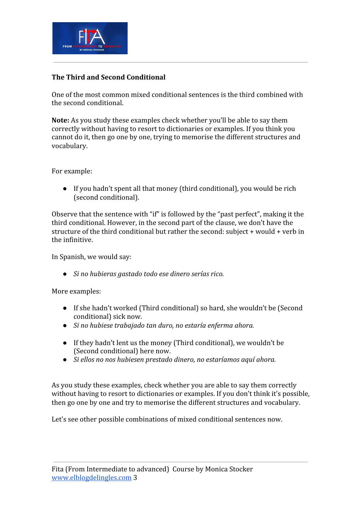

## **The Third and Second Conditional**

One of the most common mixed conditional sentences is the third combined with the second conditional.

**Note:** As you study these examples check whether you'll be able to say them correctly without having to resort to dictionaries or examples. If you think you cannot do it, then go one by one, trying to memorise the different structures and vocabulary.

For example:

● If you hadn't spent all that money (third conditional), you would be rich (second conditional).

Observe that the sentence with "if" is followed by the "past perfect", making it the third conditional. However, in the second part of the clause, we don't have the structure of the third conditional but rather the second: subject + would + verb in the infinitive.

In Spanish, we would say:

*● Si no hubieras gastado todo ese dinero serías rico.*

More examples:

- If she hadn't worked (Third conditional) so hard, she wouldn't be (Second conditional) sick now.
- *● Si no hubiese trabajado tan duro, no estaría enferma ahora.*
- If they hadn't lent us the money (Third conditional), we wouldn't be (Second conditional) here now.
- *● Si ellos no nos hubiesen prestado dinero, no estaríamos aquí ahora.*

As you study these examples, check whether you are able to say them correctly without having to resort to dictionaries or examples. If you don't think it's possible, then go one by one and try to memorise the different structures and vocabulary.

Let's see other possible combinations of mixed conditional sentences now.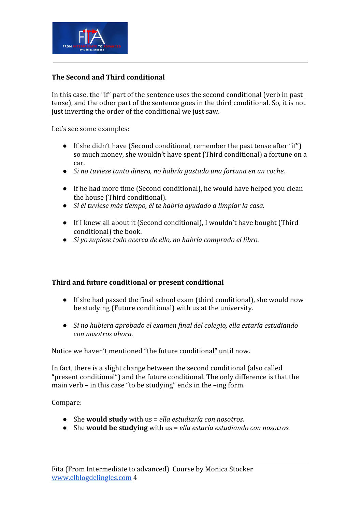

## **The Second and Third conditional**

In this case, the "if" part of the sentence uses the second conditional (verb in past tense), and the other part of the sentence goes in the third conditional. So, it is not just inverting the order of the conditional we just saw.

Let's see some examples:

- If she didn't have (Second conditional, remember the past tense after "if") so much money, she wouldn't have spent (Third conditional) a fortune on a car.
- *● Si no tuviese tanto dinero, no habría gastado una fortuna en un coche.*
- If he had more time (Second conditional), he would have helped you clean the house (Third conditional).
- *● Si él tuviese más tiempo, él te habría ayudado a limpiar la casa.*
- If I knew all about it (Second conditional), I wouldn't have bought (Third conditional) the book.
- *● Si yo supiese todo acerca de ello, no habría comprado el libro.*

## **Third and future conditional or present conditional**

- **●** If she had passed the final school exam (third conditional), she would now be studying (Future conditional) with us at the university.
- *● Si no hubiera aprobado el examen final del colegio, ella estaría estudiando con nosotros ahora.*

Notice we haven't mentioned "the future conditional" until now.

In fact, there is a slight change between the second conditional (also called "present conditional") and the future conditional. The only difference is that the main verb – in this case "to be studying" ends in the –ing form.

Compare:

- *●* She **would study** with us = *ella estudiaría con nosotros.*
- She **would be studying** with us = *ella estaría estudiando con nosotros.*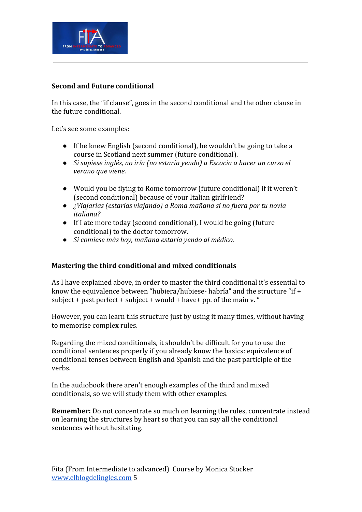

## **Second and Future conditional**

In this case, the "if clause", goes in the second conditional and the other clause in the future conditional.

Let's see some examples:

- If he knew English (second conditional), he wouldn't be going to take a course in Scotland next summer (future conditional).
- *● Si supiese inglés, no iría (no estaría yendo) a Escocia a hacer un curso el verano que viene.*
- *●* Would you be flying to Rome tomorrow (future conditional) if it weren't (second conditional) because of your Italian girlfriend?
- *● ¿Viajarías (estarías viajando) a Roma mañana si no fuera por tu novia italiana?*
- If I ate more today (second conditional), I would be going (future conditional) to the doctor tomorrow.
- *● Si comiese más hoy, mañana estaría yendo al médico.*

#### **Mastering the third conditional and mixed conditionals**

As I have explained above, in order to master the third conditional it's essential to know the equivalence between "hubiera/hubiese- habría" and the structure "if + subject + past perfect + subject + would + have + pp. of the main v. "

However, you can learn this structure just by using it many times, without having to memorise complex rules.

Regarding the mixed conditionals, it shouldn't be difficult for you to use the conditional sentences properly if you already know the basics: equivalence of conditional tenses between English and Spanish and the past participle of the verbs.

In the audiobook there aren't enough examples of the third and mixed conditionals, so we will study them with other examples.

**Remember:** Do not concentrate so much on learning the rules, concentrate instead on learning the structures by heart so that you can say all the conditional sentences without hesitating.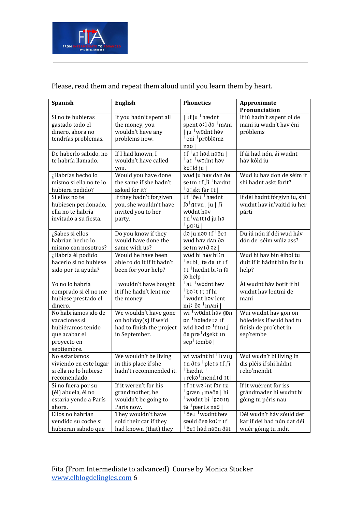

# Please, read them and repeat them aloud until you learn them by heart.

| Spanish                    | <b>English</b>             | <b>Phonetics</b>                                   | Approximate                  |
|----------------------------|----------------------------|----------------------------------------------------|------------------------------|
|                            |                            |                                                    | Pronunciation                |
| Si no te hubieras          | If you hadn't spent all    | If ju hædnt                                        | If iú hadn't sspent ol de    |
| gastado todo el            | the money, you             | spent oll ðə <sup>1</sup> m^ni                     | mani iu wudn't hav éni       |
| dinero, ahora no           | wouldn't have any          | ju <sup> </sup> wʊdnt həv                          | próblems                     |
| tendrías problemas.        | problems now.              | eni problamz                                       |                              |
|                            |                            | nao I                                              |                              |
| De haberlo sabido, no      | If I had known, I          | If $\frac{1}{2}$ at hed neon $\frac{1}{2}$         | If ái had nón, ái wudnt      |
| te habría llamado.         | wouldn't have called       | ai wodnt həy                                       | háv kóld iu                  |
|                            | you.                       | ko:ld ju                                           |                              |
| ¿Habrías hecho lo          | Would you have done        | wod ju hov d <sub>An</sub> do                      | Wud iu hav don de séim if    |
| mismo si ella no te lo     | the same if she hadn't     | seim if fi <sup>1</sup> hædnt                      | shi hadnt askt forit?        |
| hubiera pedido?            | asked for it?              | <sup>∣</sup> a∶skt fər īt∣                         |                              |
| Si ellos no te             | If they hadn't forgiven    | If del hædnt                                       | If déi hadnt fórgivn iu, shi |
| hubiesen perdonado,        | you, she wouldn't have     | fə <sup>l</sup> gıvn ju∣∫i                         | wudnt hav in'vaitid iu her   |
| ella no te habría          | invited you to her         | wodnt hav                                          | párti                        |
| invitado a su fiesta.      | party.                     | In valtid ju ha                                    |                              |
|                            |                            | <sup>∣</sup> pa∶ti∣                                |                              |
| ¿Sabes si ellos            | Do you know if they        | də ju nəv If <sup>1</sup> de I                     | Du iú nóu if déi wud háv     |
| habrían hecho lo           | would have done the        | wud həv d^n ðə                                     | dón de séim wúiz ass?        |
| mismo con nosotros?        | same with us?              | seim wið əz                                        |                              |
| ¿Habría él podido          | Would he have been         | wod hi həy bi'n                                    | Wud hi hav bin éibol tu      |
| hacerlo si no hubiese      | able to do it if it hadn't | <sup>i</sup> eībl, tə də īt īf                     | duit if it hádnt biin for iu |
| sido por tu ayuda?         | been for your help?        | It hædnt bi'n fa                                   | help?                        |
|                            |                            | jə help                                            |                              |
| Yo no lo habría            | I wouldn't have bought     | ai wodnt həv                                       | Ái wudnt háv botit if hi     |
| comprado si él no me       | it if he hadn't lent me    | bolt it if hi                                      | wudnt hav lentmi de          |
| hubiese prestado el        | the money                  | wodnt hav lent                                     | mani                         |
| dinero.                    |                            | $mi$ : ðə $\lfloor m$ Ani $\rfloor$                |                              |
| No habríamos ido de        | We wouldn't have gone      | wi wudnt həy gpn<br>pn <sup> </sup> hpləde 1 z 1 f | Wui wudnt hav gon on         |
| vacaciones si              | on holiday(s) if we'd      |                                                    | hóledeiss if wuid had tu     |
| hubiéramos tenido          | had to finish the project  | wid həd tə <sup>∣</sup> fını∫                      | fínish de pro'chet in        |
| que acabar el              | in September.              | ðə prə <sup>†</sup> dʒekt 1n                       | sep'tembe                    |
| proyecto en<br>septiembre. |                            | sep tembə                                          |                              |
| No estaríamos              | We wouldn't be living      | wi wodnt bi livin                                  | Wuí wudn't bi líving in      |
| viviendo en este lugar     | in this place if she       | In $\delta$ Is pleis If $\int$ i                   | dis pléis if shi hádnt       |
| si ella no lo hubiese      | hadn't recommended it.     | $\frac{1}{2}$ hædnt $\frac{1}{2}$                  | reko'mendit                  |
| recomendado.               |                            | <sub>  rekə</sub>   <sub>mend1d</sub> 1t           |                              |
| Si no fuera por su         | If it weren't for his      | If It w3'nt far Iz                                 | If it wuérent for iss        |
| (él) abuela, él no         | grandmother, he            | <sup>∣</sup> græn <sub>∣</sub> m∧ðə∣hi             | grándmader hi wudnt bi       |
| estaría yendo a París      | wouldn't be going to       | wodnt bi <sup>1</sup> gəvin                        | góing tu péris nau           |
| ahora.                     | Paris now.                 | to pæris nav                                       |                              |
| Ellos no habrían           | They wouldn't have         | <sup>1</sup> de1 <sup>1</sup> wudnt həy            | Déi wudn't háv sóuld der     |
| vendido su coche si        | sold their car if they     | səvid ðeə ka:r 1f                                  | kar if dei had nún dat déi   |
| hubieran sabido que        | had known (that) they      | <sup>I</sup> ðe I həd nəʊn ðət                     | wuér góing tu nidit          |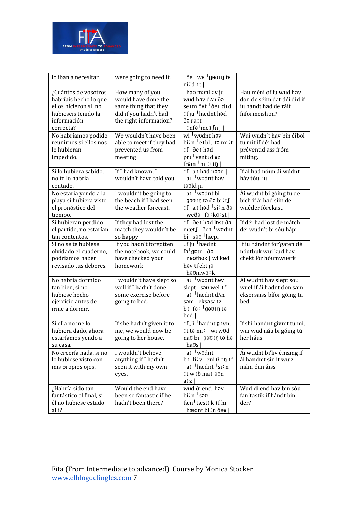

| lo iban a necesitar.                                                                                                     | were going to need it.                                                                                            | $\overline{\overline{6}}$ el wə $\overline{6}$ gə $\overline{0}$ ln tə<br>$ni'd$ It                                                                                                                                                                                          |                                                                                               |
|--------------------------------------------------------------------------------------------------------------------------|-------------------------------------------------------------------------------------------------------------------|------------------------------------------------------------------------------------------------------------------------------------------------------------------------------------------------------------------------------------------------------------------------------|-----------------------------------------------------------------------------------------------|
| ¿Cuántos de vosotros<br>habríais hecho lo que<br>ellos hicieron si no<br>hubieseis tenido la<br>información<br>correcta? | How many of you<br>would have done the<br>same thing that they<br>did if you hadn't had<br>the right information? | hao moni ov ju<br>wud həv d^n ðə<br>seim ðət <sup>1</sup> ðei did<br>If ju 'hædnt hod<br>ðə rait<br>$ $ Infə $ $ me I $\int$ n                                                                                                                                               | Hau méni of iu wud hav<br>don de séim dat déi did if<br>iu hándt had de ráit<br>ínformeishon? |
| No habríamos podido<br>reunirnos si ellos nos<br>lo hubieran<br>impedido.                                                | We wouldn't have been<br>able to meet if they had<br>prevented us from<br>meeting                                 | wi wodnt hav<br>bi'n 'eibl, to mi't<br>$If \,$ <sup>1</sup> $\delta$ e $I$ had<br>pri ventid az<br>from 'mi'tip                                                                                                                                                              | Wui wudn't hav bin éibol<br>tu mit if déi had<br>préventid ass fróm<br>míting.                |
| Si lo hubiera sabido,<br>no te lo habría<br>contado.                                                                     | If I had known, I<br>wouldn't have told you.                                                                      | If $\vert$ at had naon $\vert$<br>a <sub>I</sub> wodnt hav<br>təvid ju                                                                                                                                                                                                       | If ai had nóun ái wúdnt<br>háv tóul iu                                                        |
| No estaría yendo a la<br>playa si hubiera visto<br>el pronóstico del<br>tiempo.                                          | I wouldn't be going to<br>the beach if I had seen<br>the weather forecast.                                        | $\frac{1}{2}$ a lwodnt bi<br><sup>1</sup> gəʊɪŋ tə ðə bi∶t∫<br>If $\frac{1}{2}$ al həd $\frac{1}{2}$ si'n ðə<br>'weðə 'fɔːkɑːst∣                                                                                                                                             | Ái wudnt bi góing tu de<br>bich if ái had siin de<br>wuéder fórekast                          |
| Si hubieran perdido<br>el partido, no estarían<br>tan contentos.                                                         | If they had lost the<br>match they wouldn't be<br>so happy.                                                       | If ae I had lpst da<br>mæt∫ <sup> </sup> ðe1 <sup> </sup> w∪dnt<br>bi sau hæpi                                                                                                                                                                                               | If déi had lost de mátch<br>déi wudn't bi sóu hápi                                            |
| Si no se te hubiese<br>olvidado el cuaderno,<br>podríamos haber<br>revisado tus deberes.                                 | If you hadn't forgotten<br>the notebook, we could<br>have checked your<br>homework                                | If ju hædnt<br>fə <sup>1</sup> gptn õə<br>nəvtbvk   wi kəd<br>həv t∫ekt jə<br>$ $ hə $v$ mw $3$ : $k$                                                                                                                                                                        | If iu hándnt for'gaten dé<br>nóutbuk wui kud hav<br>chekt iór hóumwuerk                       |
| No habría dormido<br>tan bien, si no<br>hubiese hecho<br>ejercicio antes de<br>irme a dormir.                            | I wouldn't have slept so<br>well if I hadn't done<br>some exercise before<br>going to bed.                        | $\frac{1}{2}$ a I wodnt həy<br>slept sow wel 1f<br>a <sub>I</sub> hædnt d^n<br>səm <sup>1</sup> eksəsa iz<br>bi fo: I gavin ta<br>bed                                                                                                                                        | Ai wudnt hav slept sou<br>wuel if ái hadnt don sam<br>eksersaiss bífor góing tu<br>bed        |
| Si ella no me lo<br>hubiera dado, ahora<br>estaríamos yendo a<br>su casa.                                                | If she hadn't given it to<br>me, we would now be<br>going to her house.                                           | If $\int$ i $\int$ hædnt g $\int$ i vn<br>It to mi!   wi wod<br>nao bi <sup>1</sup> gəo in tə hə<br><sup>1</sup> haʊs                                                                                                                                                        | If shi handnt givnit tu mi,<br>wui wud náu bi góing tú<br>her háus                            |
| No creería nada, si no<br>lo hubiese visto con<br>mis propios ojos.                                                      | I wouldn't believe<br>anything if I hadn't<br>seen it with my own<br>eyes.                                        | a <sub>I</sub> wodnt<br>$\mathbf{b}$ i $\mathbf{b}$ i $\mathbf{b}$ i $\mathbf{b}$ i $\mathbf{b}$ i $\mathbf{b}$ i $\mathbf{b}$ i $\mathbf{b}$ i $\mathbf{b}$ i $\mathbf{b}$<br>$\frac{1}{2}$ ai $\frac{1}{2}$ hædnt $\frac{1}{2}$ si:n<br>It wið mai oun<br>a <sub>I</sub> z | Ái wudnt bi'liv énizing if<br>ái handn't sin it wuiz<br>máin óun áiss                         |
| ¿Habría sido tan<br>fantástico el final, si<br>él no hubiese estado<br>allí?                                             | Would the end have<br>been so fantastic if he<br>hadn't been there?                                               | wod ði end hav<br>bi:n seu<br>fæn <sup>1</sup> tæstik if hi<br>'hædnt bi∶n ðeə                                                                                                                                                                                               | Wud di end hav bin sóu<br>fan'tastik if hándt bin<br>der?                                     |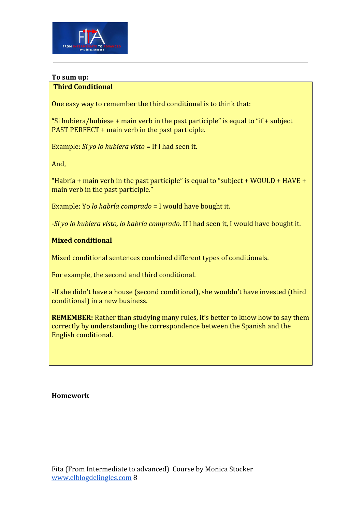

## **To sum up:**

## **Third Conditional**

One easy way to remember the third conditional is to think that:

"Si hubiera/hubiese + main verb in the past participle" is equal to "if + subject PAST PERFECT + main verb in the past participle.

Example: *Si yo lo hubiera visto* = If I had seen it.

And,

"Habría + main verb in the past participle" is equal to "subject + WOULD + HAVE + main verb in the past participle."

Example: Yo *lo habría comprado* = I would have bought it.

-*Si yo lo hubiera visto, lo habría comprado*. If I had seen it, I would have bought it.

### **Mixed conditional**

Mixed conditional sentences combined different types of conditionals.

For example, the second and third conditional.

-If she didn't have a house (second conditional), she wouldn't have invested (third conditional) in a new business.

**REMEMBER:** Rather than studying many rules, it's better to know how to say them correctly by understanding the correspondence between the Spanish and the English conditional.

**Homework**